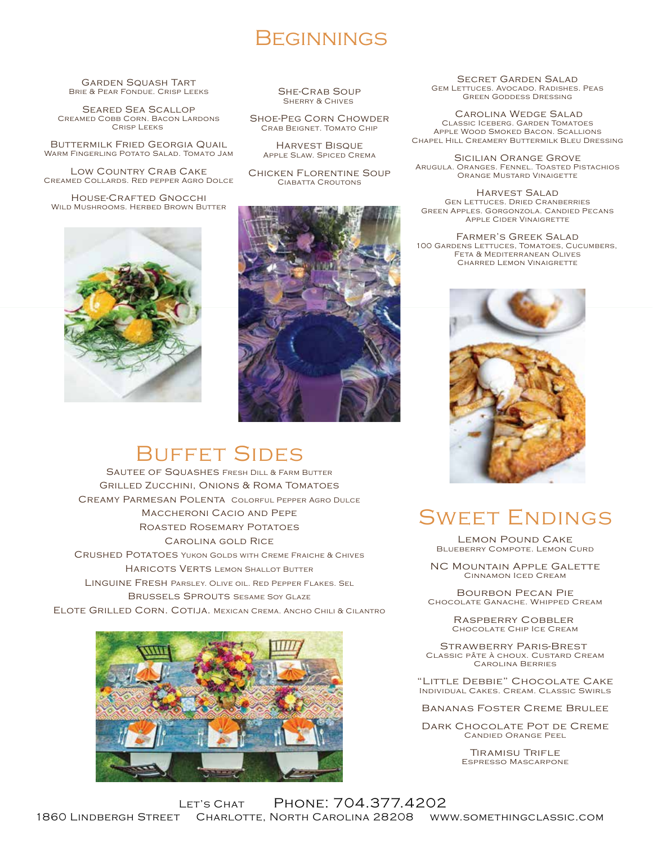#### **BEGINNINGS**

Garden Squash Tart Brie & Pear Fondue. Crisp Leeks

Seared Sea Scallop Creamed Cobb Corn. Bacon Lardons Crisp Leeks

Buttermilk Fried Georgia Quail Warm Fingerling Potato Salad. Tomato Jam

Low Country Crab Cake Creamed Collards. Red pepper Agro Dolce

House-Crafted Gnocchi WILD MUSHROOMS. HERBED BROWN BUTTER



She-Crab Soup **SHERRY & CHIVES** 

Shoe-Peg Corn Chowder Crab Beignet. Tomato Chip

Harvest Bisque Apple Slaw. Spiced Crema

CHICKEN FLORENTINE SOUP CIABATTA CROUTONS

Secret Garden Salad GEM LETTUCES. AVOCADO. RADISHES. PEAS Green Goddess Dressing

 Carolina Wedge Salad Classic Iceberg. Garden Tomatoes Apple Wood Smoked Bacon. Scallions Chapel Hill Creamery Buttermilk Bleu Dressing

Sicilian Orange Grove Arugula. Oranges. Fennel. Toasted Pistachios Orange Mustard Vinaigette

Harvest Salad Gen Lettuces. Dried Cranberries Green Apples. Gorgonzola. Candied Pecans Apple Cider Vinaigrette

Farmer's Greek Salad 100 GARDENS LETTUCES, TOMATOES, CUCUMBERS, Feta & Mediterranean Olives Charred Lemon Vinaigrette



# Buffet Sides

Sautee of Squashes Fresh Dill & Farm Butter Grilled Zucchini, Onions & Roma Tomatoes Creamy Parmesan Polenta Colorful Pepper Agro Dulce Maccheroni Cacio and Pepe Roasted Rosemary Potatoes CAROLINA GOLD RICE Crushed Potatoes Yukon Golds with Creme Fraiche & Chives Haricots Verts Lemon Shallot Butter Linguine Fresh Parsley. Olive oil. Red Pepper Flakes. Sel Brussels Sprouts Sesame Soy Glaze Elote Grilled Corn. Cotija. Mexican Crema. Ancho Chili & Cilantro



## Sweet Endings

Lemon Pound Cake Blueberry Compote. Lemon Curd

NC Mountain Apple Galette Cinnamon Iced Cream

Bourbon Pecan Pie Chocolate Ganache. Whipped Cream

> Raspberry Cobbler Chocolate Chip Ice Cream

Strawberry Paris-Brest Classic pâte à choux. Custard Cream Carolina Berries

"Little Debbie" Chocolate Cake Individual Cakes. Cream. Classic Swirls

Bananas Foster Creme Brulee

Dark Chocolate Pot de Creme Candied Orange Peel

> Tiramisu Trifle Espresso Mascarpone

Let's Chat Phone: 704.377.4202 1860 Lindbergh Street Charlotte, North Carolina 28208 www.somethingclassic.com